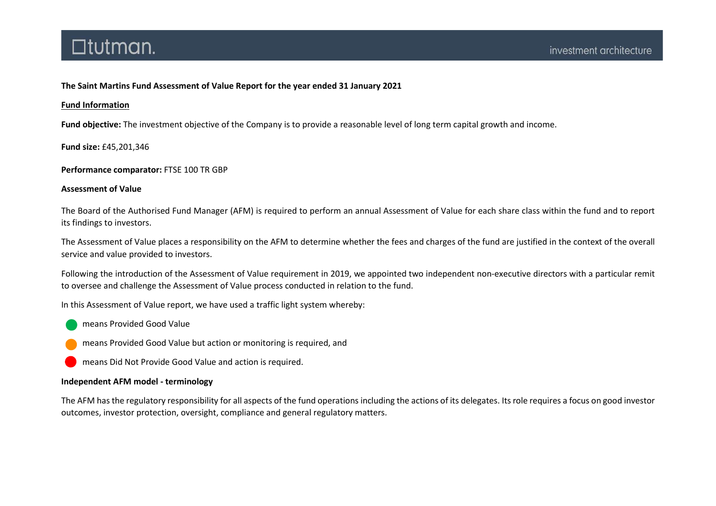### The Saint Martins Fund Assessment of Value Report for the year ended 31 January 2021

#### Fund Information

Fund objective: The investment objective of the Company is to provide a reasonable level of long term capital growth and income.

Fund size: £45,201,346

Performance comparator: FTSE 100 TR GBP

#### Assessment of Value

The Board of the Authorised Fund Manager (AFM) is required to perform an annual Assessment of Value for each share class within the fund and to report its findings to investors.

The Assessment of Value places a responsibility on the AFM to determine whether the fees and charges of the fund are justified in the context of the overall service and value provided to investors.

Following the introduction of the Assessment of Value requirement in 2019, we appointed two independent non-executive directors with a particular remit to oversee and challenge the Assessment of Value process conducted in relation to the fund.

In this Assessment of Value report, we have used a traffic light system whereby:

- means Provided Good Value
- means Provided Good Value but action or monitoring is required, and
- means Did Not Provide Good Value and action is required.

#### Independent AFM model - terminology

The AFM has the regulatory responsibility for all aspects of the fund operations including the actions of its delegates. Its role requires a focus on good investor outcomes, investor protection, oversight, compliance and general regulatory matters.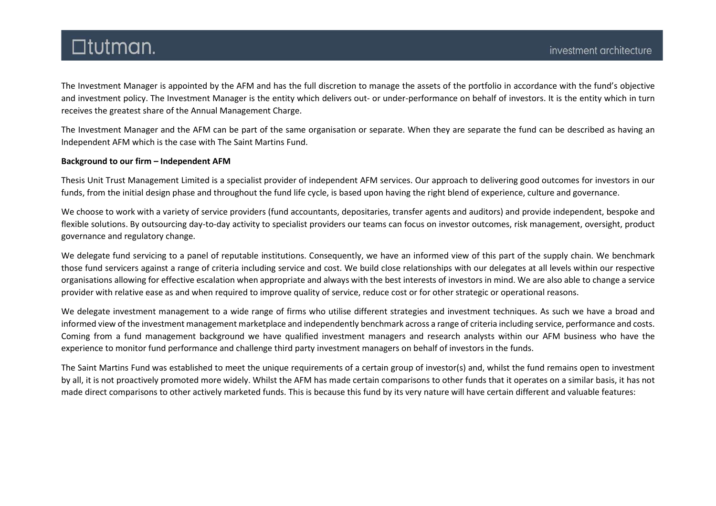The Investment Manager is appointed by the AFM and has the full discretion to manage the assets of the portfolio in accordance with the fund's objective and investment policy. The Investment Manager is the entity which delivers out- or under-performance on behalf of investors. It is the entity which in turn receives the greatest share of the Annual Management Charge.

The Investment Manager and the AFM can be part of the same organisation or separate. When they are separate the fund can be described as having an Independent AFM which is the case with The Saint Martins Fund.

#### Background to our firm – Independent AFM

Thesis Unit Trust Management Limited is a specialist provider of independent AFM services. Our approach to delivering good outcomes for investors in our funds, from the initial design phase and throughout the fund life cycle, is based upon having the right blend of experience, culture and governance.

We choose to work with a variety of service providers (fund accountants, depositaries, transfer agents and auditors) and provide independent, bespoke and flexible solutions. By outsourcing day-to-day activity to specialist providers our teams can focus on investor outcomes, risk management, oversight, product governance and regulatory change.

We delegate fund servicing to a panel of reputable institutions. Consequently, we have an informed view of this part of the supply chain. We benchmark those fund servicers against a range of criteria including service and cost. We build close relationships with our delegates at all levels within our respective organisations allowing for effective escalation when appropriate and always with the best interests of investors in mind. We are also able to change a service provider with relative ease as and when required to improve quality of service, reduce cost or for other strategic or operational reasons.

We delegate investment management to a wide range of firms who utilise different strategies and investment techniques. As such we have a broad and informed view of the investment management marketplace and independently benchmark across a range of criteria including service, performance and costs. Coming from a fund management background we have qualified investment managers and research analysts within our AFM business who have the experience to monitor fund performance and challenge third party investment managers on behalf of investors in the funds.

The Saint Martins Fund was established to meet the unique requirements of a certain group of investor(s) and, whilst the fund remains open to investment by all, it is not proactively promoted more widely. Whilst the AFM has made certain comparisons to other funds that it operates on a similar basis, it has not made direct comparisons to other actively marketed funds. This is because this fund by its very nature will have certain different and valuable features: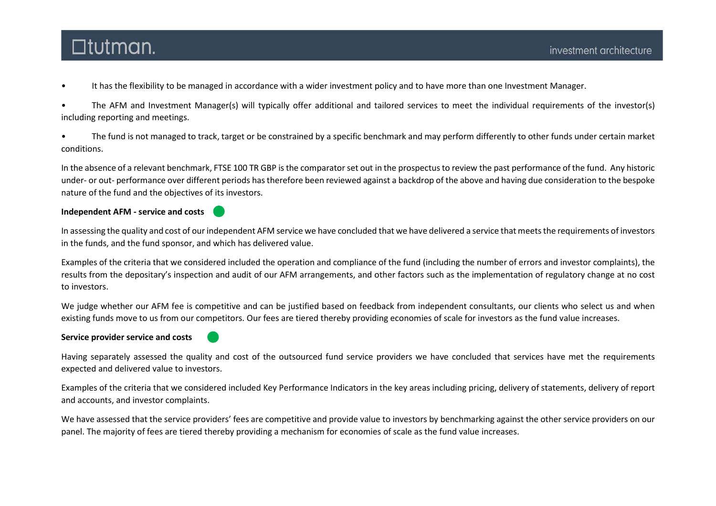• It has the flexibility to be managed in accordance with a wider investment policy and to have more than one Investment Manager.

• The AFM and Investment Manager(s) will typically offer additional and tailored services to meet the individual requirements of the investor(s) including reporting and meetings.

• The fund is not managed to track, target or be constrained by a specific benchmark and may perform differently to other funds under certain market conditions.

In the absence of a relevant benchmark, FTSE 100 TR GBP is the comparator set out in the prospectus to review the past performance of the fund. Any historic under- or out- performance over different periods has therefore been reviewed against a backdrop of the above and having due consideration to the bespoke nature of the fund and the objectives of its investors.

#### Independent AFM - service and costs

In assessing the quality and cost of our independent AFM service we have concluded that we have delivered a service that meets the requirements of investors in the funds, and the fund sponsor, and which has delivered value.

Examples of the criteria that we considered included the operation and compliance of the fund (including the number of errors and investor complaints), the results from the depositary's inspection and audit of our AFM arrangements, and other factors such as the implementation of regulatory change at no cost to investors.

We judge whether our AFM fee is competitive and can be justified based on feedback from independent consultants, our clients who select us and when existing funds move to us from our competitors. Our fees are tiered thereby providing economies of scale for investors as the fund value increases.

#### Service provider service and costs

Having separately assessed the quality and cost of the outsourced fund service providers we have concluded that services have met the requirements expected and delivered value to investors.

Examples of the criteria that we considered included Key Performance Indicators in the key areas including pricing, delivery of statements, delivery of report and accounts, and investor complaints.

We have assessed that the service providers' fees are competitive and provide value to investors by benchmarking against the other service providers on our panel. The majority of fees are tiered thereby providing a mechanism for economies of scale as the fund value increases.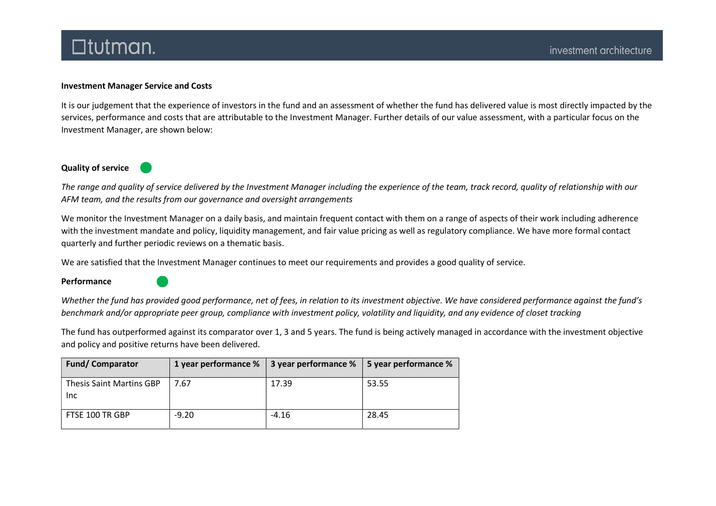#### Investment Manager Service and Costs

It is our judgement that the experience of investors in the fund and an assessment of whether the fund has delivered value is most directly impacted by the services, performance and costs that are attributable to the Investment Manager. Further details of our value assessment, with a particular focus on the Investment Manager, are shown below:

### Quality of service

The range and quality of service delivered by the Investment Manager including the experience of the team, track record, quality of relationship with our AFM team, and the results from our governance and oversight arrangements

We monitor the Investment Manager on a daily basis, and maintain frequent contact with them on a range of aspects of their work including adherence with the investment mandate and policy, liquidity management, and fair value pricing as well as regulatory compliance. We have more formal contact quarterly and further periodic reviews on a thematic basis.

We are satisfied that the Investment Manager continues to meet our requirements and provides a good quality of service.

Performance

Whether the fund has provided good performance, net of fees, in relation to its investment objective. We have considered performance against the fund's benchmark and/or appropriate peer group, compliance with investment policy, volatility and liquidity, and any evidence of closet tracking

The fund has outperformed against its comparator over 1, 3 and 5 years. The fund is being actively managed in accordance with the investment objective and policy and positive returns have been delivered.

| <b>Fund/Comparator</b>                  | 1 year performance % | 3 year performance $\%$   5 year performance $\%$ |       |
|-----------------------------------------|----------------------|---------------------------------------------------|-------|
| <b>Thesis Saint Martins GBP</b><br>Inc. | 7.67                 | 17.39                                             | 53.55 |
| FTSE 100 TR GBP                         | $-9.20$              | $-4.16$                                           | 28.45 |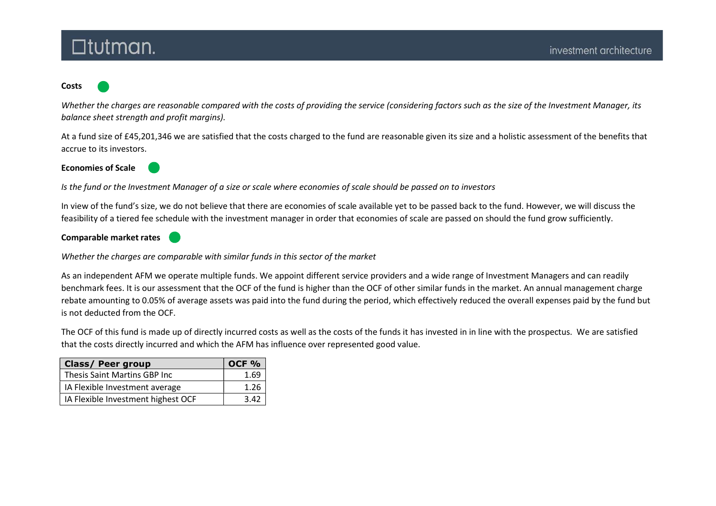## $\Box$ tutman.

#### Costs

Whether the charges are reasonable compared with the costs of providing the service (considering factors such as the size of the Investment Manager, its balance sheet strength and profit margins).

At a fund size of £45,201,346 we are satisfied that the costs charged to the fund are reasonable given its size and a holistic assessment of the benefits that accrue to its investors.

Economies of Scale



Is the fund or the Investment Manager of a size or scale where economies of scale should be passed on to investors

In view of the fund's size, we do not believe that there are economies of scale available yet to be passed back to the fund. However, we will discuss the feasibility of a tiered fee schedule with the investment manager in order that economies of scale are passed on should the fund grow sufficiently.

Comparable market rates



Whether the charges are comparable with similar funds in this sector of the market

As an independent AFM we operate multiple funds. We appoint different service providers and a wide range of Investment Managers and can readily benchmark fees. It is our assessment that the OCF of the fund is higher than the OCF of other similar funds in the market. An annual management charge rebate amounting to 0.05% of average assets was paid into the fund during the period, which effectively reduced the overall expenses paid by the fund but is not deducted from the OCF.

The OCF of this fund is made up of directly incurred costs as well as the costs of the funds it has invested in in line with the prospectus. We are satisfied that the costs directly incurred and which the AFM has influence over represented good value.

| <b>Class/ Peer group</b>           | OCF <sub>%</sub> |
|------------------------------------|------------------|
| Thesis Saint Martins GBP Inc       | 1.69             |
| IA Flexible Investment average     | 1.26             |
| IA Flexible Investment highest OCF | 3.42             |